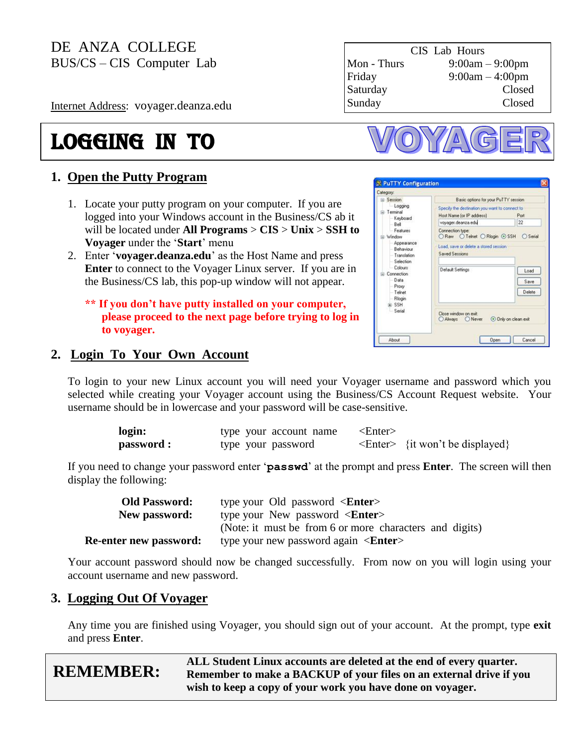Internet Address: voyager.deanza.edu

# logging in to

### **1. Open the Putty Program**

- 1. Locate your putty program on your computer. If you are logged into your Windows account in the Business/CS ab it will be located under **All Programs** > **CIS** > **Unix** > **SSH to Voyager** under the "**Start**" menu
- 2. Enter "**voyager.deanza.edu**" as the Host Name and press **Enter** to connect to the Voyager Linux server. If you are in the Business/CS lab, this pop-up window will not appear.

**\*\* If you don't have putty installed on your computer, please proceed to the next page before trying to log in to voyager.**

### CIS Lab Hours Mon - Thurs 9:00am – 9:00pm Friday 9:00am – 4:00pm Saturday Closed Sunday Closed



| Category:<br>$=$ Session                                                    | Basic options for your PuTTY session                                                                                          |                        |  |
|-----------------------------------------------------------------------------|-------------------------------------------------------------------------------------------------------------------------------|------------------------|--|
| Logging<br>E-Terminal<br>Keyboard<br>Bell                                   | Specify the destination you want to connect to<br>Host Name (or IP address)<br>voyager.deanza.edu                             | Port<br>22             |  |
| Features<br>- Window<br>Appearance<br>Behaviour<br>Translation<br>Selection | Connection type:<br>○ Raw O Telnet O Riogin ⓒ SSH<br>Serial<br>Load, save or delete a stored session<br><b>Saved Sessions</b> |                        |  |
| Colours<br>E-Connection<br>Data<br>Prow<br>Telnet<br>Rlogin                 | Default Settings                                                                                                              | Load<br>Save<br>Delete |  |
| GE-SSH<br>Serial                                                            | Close window on exit<br>O Always<br>Never                                                                                     | O Only on clean exit   |  |

### **2. Login To Your Own Account**

To login to your new Linux account you will need your Voyager username and password which you selected while creating your Voyager account using the Business/CS Account Request website. Your username should be in lowercase and your password will be case-sensitive.

| login:     | type your account name | <enter></enter> |                                          |
|------------|------------------------|-----------------|------------------------------------------|
| password : | type your password     |                 | $\leq$ Enter $>$ {it won't be displayed} |

If you need to change your password enter "**passwd**" at the prompt and press **Enter**. The screen will then display the following:

| <b>Old Password:</b>          | type your Old password $\leq$ <b>Enter</b> >            |
|-------------------------------|---------------------------------------------------------|
| New password:                 | type your New password $\langle$ <b>Enter</b> $>$       |
|                               | (Note: it must be from 6 or more characters and digits) |
| <b>Re-enter new password:</b> | type your new password again $\leq$ <b>Enter</b> >      |

Your account password should now be changed successfully. From now on you will login using your account username and new password.

### **3. Logging Out Of Voyager**

Any time you are finished using Voyager, you should sign out of your account. At the prompt, type **exit** and press **Enter**.

|                  | ALL Student Linux accounts are deleted at the end of every quarter. |
|------------------|---------------------------------------------------------------------|
| <b>REMEMBER:</b> | Remember to make a BACKUP of your files on an external drive if you |
|                  | wish to keep a copy of your work you have done on voyager.          |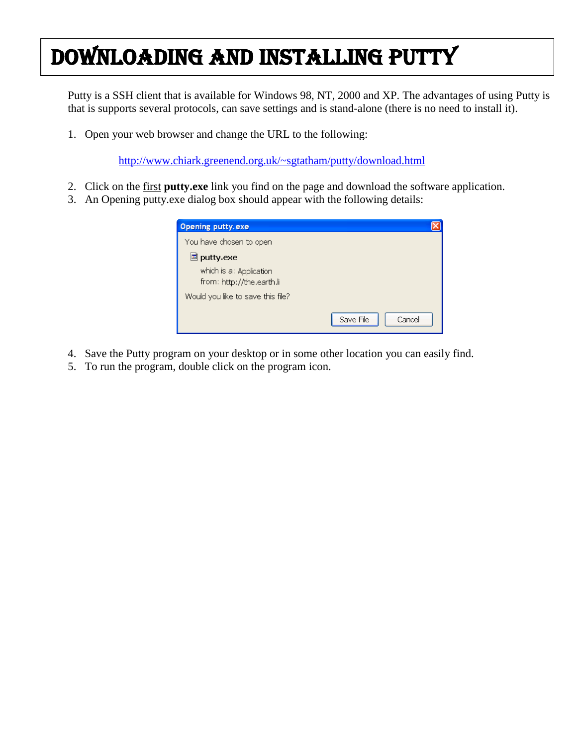# Downloading and Installing PUTTY

Putty is a SSH client that is available for Windows 98, NT, 2000 and XP. The advantages of using Putty is that is supports several protocols, can save settings and is stand-alone (there is no need to install it).

1. Open your web browser and change the URL to the following:

<http://www.chiark.greenend.org.uk/~sgtatham/putty/download.html>

- 2. Click on the first **putty.exe** link you find on the page and download the software application.
- 3. An Opening putty.exe dialog box should appear with the following details:

| <b>Opening putty.exe</b>                             |                     |
|------------------------------------------------------|---------------------|
| You have chosen to open                              |                     |
| <u>圖</u> puttγ.exe                                   |                     |
| which is a: Application<br>from: http://the.earth.li |                     |
| Would you like to save this file?                    |                     |
|                                                      | Save File<br>Cancel |

- 4. Save the Putty program on your desktop or in some other location you can easily find.
- 5. To run the program, double click on the program icon.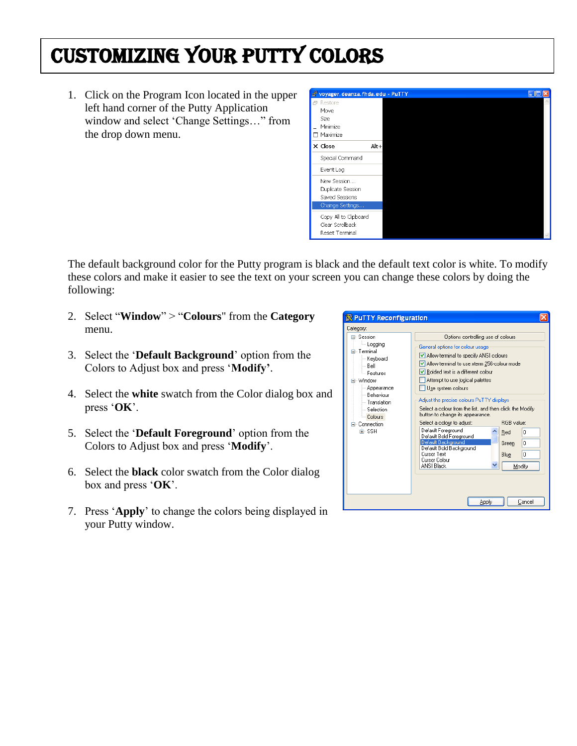### Customizing Your Putty Colors

1. Click on the Program Icon located in the upper left hand corner of the Putty Application window and select "Change Settings…" from the drop down menu.



The default background color for the Putty program is black and the default text color is white. To modify these colors and make it easier to see the text on your screen you can change these colors by doing the following:

- 2. Select "**Window**" > "**Colours**" from the **Category** menu.
- 3. Select the "**Default Background**" option from the Colors to Adjust box and press "**Modify'**.
- 4. Select the **white** swatch from the Color dialog box and press "**OK**".
- 5. Select the "**Default Foreground**" option from the Colors to Adjust box and press "**Modify**".
- 6. Select the **black** color swatch from the Color dialog box and press "**OK**".
- 7. Press "**Apply**" to change the colors being displayed in your Putty window.

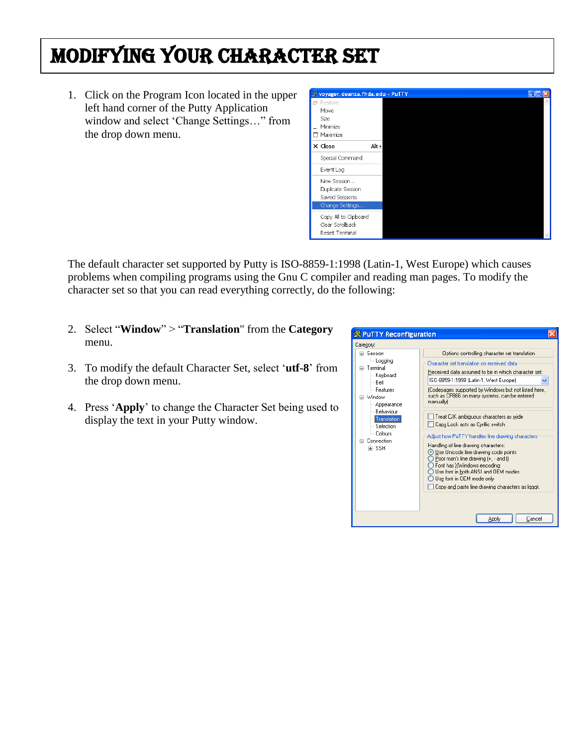## MODIFYING Your Character set

1. Click on the Program Icon located in the upper left hand corner of the Putty Application window and select "Change Settings…" from the drop down menu.

| voyager, deanza, fhda, edu - PuTTY |      |  |  |
|------------------------------------|------|--|--|
| 日 Restore                          |      |  |  |
| Move                               |      |  |  |
| Size                               |      |  |  |
| Minimize                           |      |  |  |
| $\Box$ Maximize                    |      |  |  |
| $\times$ Close                     | Alt+ |  |  |
| Special Command                    |      |  |  |
| Event Log                          |      |  |  |
| New Session                        |      |  |  |
| Duplicate Session                  |      |  |  |
| Saved Sessions                     |      |  |  |
| Change Settings                    |      |  |  |
| Copy All to Clipboard              |      |  |  |
| Clear Scrollback                   |      |  |  |
| Reset Terminal                     |      |  |  |

The default character set supported by Putty is ISO-8859-1:1998 (Latin-1, West Europe) which causes problems when compiling programs using the Gnu C compiler and reading man pages. To modify the character set so that you can read everything correctly, do the following:

- 2. Select "**Window**" > "**Translation**" from the **Category** menu.
- 3. To modify the default Character Set, select "**utf-8**" from the drop down menu.
- 4. Press "**Apply**" to change the Character Set being used to display the text in your Putty window.

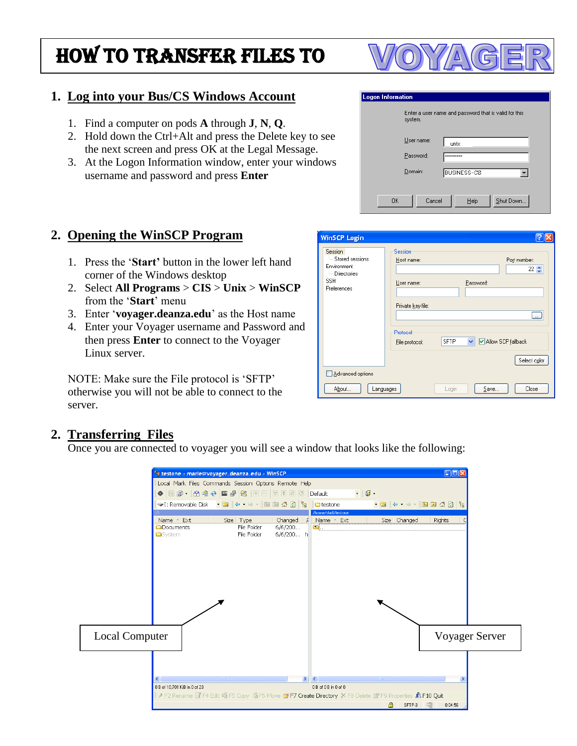### How to TRANSFER FILES TO

### **1. Log into your Bus/CS Windows Account**

- 1. Find a computer on pods **A** through **J**, **N**, **Q**.
- 2. Hold down the Ctrl+Alt and press the Delete key to see the next screen and press OK at the Legal Message.
- 3. At the Logon Information window, enter your windows username and password and press **Enter**

#### **Logon Information** Enter a user name and password that is valid for this system. User name unix Password: Domain: **BUSINESS-CS**  $\vert \cdot \vert$  $0K$ Cancel  $He$ lp Shut Down...

### **2. Opening the WinSCP Program**

- 1. Press the "**Start'** button in the lower left hand corner of the Windows desktop
- 2. Select **All Programs** > **CIS** > **Unix** > **WinSCP** from the '**Start**' menu
- 3. Enter "**voyager.deanza.edu**" as the Host name
- 4. Enter your Voyager username and Password and then press **Enter** to connect to the Voyager Linux server.

NOTE: Make sure the File protocol is "SFTP" otherwise you will not be able to connect to the server.

| WinSCP Login                                                                          |                                                                                        |             |                                      | $  \cdot  \mathsf{X}  $                               |
|---------------------------------------------------------------------------------------|----------------------------------------------------------------------------------------|-------------|--------------------------------------|-------------------------------------------------------|
| Session<br>Stored sessions<br>Environment<br>Directories<br><b>SSH</b><br>Preferences | Session<br>Host name:<br>User name:<br>Private key file:<br>Protocol<br>File protocol: | <b>SFTP</b> | Password:<br>Allow SCP fallback<br>v | Port number:<br>$22 \div$<br>$\cdots$<br>Select color |
| Advanced options                                                                      |                                                                                        |             |                                      |                                                       |
| About<br>Languages                                                                    |                                                                                        | Login       | $S$ ave                              | Close                                                 |

### **2. Transferring Files**

Once you are connected to voyager you will see a window that looks like the following:



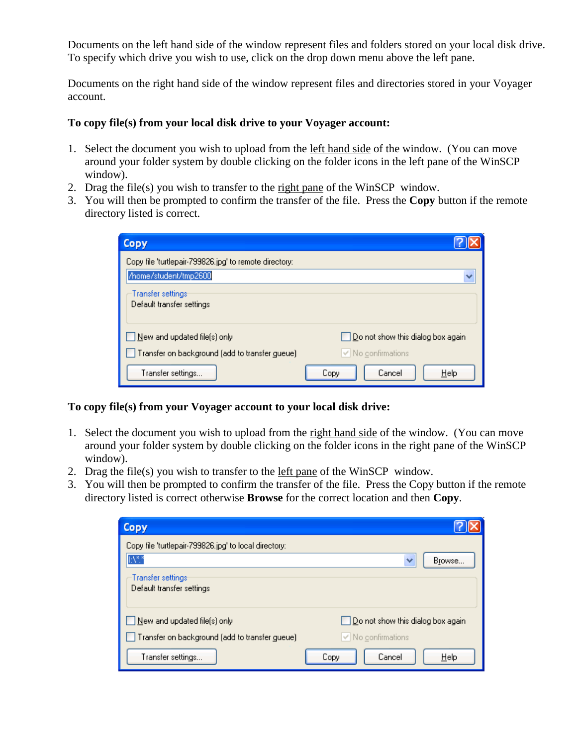Documents on the left hand side of the window represent files and folders stored on your local disk drive. To specify which drive you wish to use, click on the drop down menu above the left pane.

Documents on the right hand side of the window represent files and directories stored in your Voyager account.

#### **To copy file(s) from your local disk drive to your Voyager account:**

- 1. Select the document you wish to upload from the left hand side of the window. (You can move around your folder system by double clicking on the folder icons in the left pane of the WinSCP window).
- 2. Drag the file(s) you wish to transfer to the right pane of the WinSCP window.
- 3. You will then be prompted to confirm the transfer of the file. Press the **Copy** button if the remote directory listed is correct.

| <b>Copy</b>                                            |                                   |
|--------------------------------------------------------|-----------------------------------|
| Copy file 'turtlepair-799826.jpg' to remote directory: |                                   |
| /home/student/tmp2600                                  |                                   |
| Transfer settings<br>Default transfer settings         |                                   |
| New and updated file(s) only                           | Do not show this dialog box again |
| Transfer on background (add to transfer gueue)         | ∨ No confirmations                |
| Transfer settings                                      | Help<br>Cancel<br>Copy            |

#### **To copy file(s) from your Voyager account to your local disk drive:**

- 1. Select the document you wish to upload from the right hand side of the window. (You can move around your folder system by double clicking on the folder icons in the right pane of the WinSCP window).
- 2. Drag the file(s) you wish to transfer to the left pane of the WinSCP window.
- 3. You will then be prompted to confirm the transfer of the file. Press the Copy button if the remote directory listed is correct otherwise **Browse** for the correct location and then **Copy**.

| Copy                                                  |                                   |
|-------------------------------------------------------|-----------------------------------|
| Copy file 'turtlepair-799826.jpg' to local directory: |                                   |
| $\mathbb{N}^*$                                        | Browse                            |
| Transfer settings<br>Default transfer settings        |                                   |
| New and updated file(s) only                          | Do not show this dialog box again |
| Transfer on background (add to transfer gueue)        | ∨ No confirmations                |
| Transfer settings                                     | Help<br>Cancel<br>Copy            |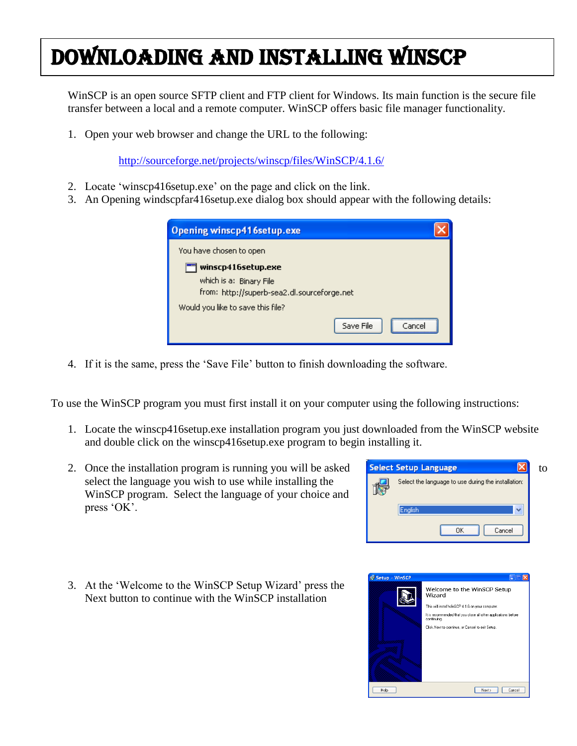# Downloading and Installing WinSCP

WinSCP is an open source SFTP client and FTP client for Windows. Its main function is the secure file transfer between a local and a remote computer. WinSCP offers basic file manager functionality.

1. Open your web browser and change the URL to the following:

<http://sourceforge.net/projects/winscp/files/WinSCP/4.1.6/>

- 2. Locate "winscp416setup.exe" on the page and click on the link.
- 3. An Opening windscpfar416setup.exe dialog box should appear with the following details:

| <b>Opening winscp416setup.exe</b>           |
|---------------------------------------------|
| You have chosen to open                     |
| winscp416setup.exe                          |
| which is a: Binary File                     |
| from: http://superb-sea2.dl.sourceforge.net |
| Would you like to save this file?           |
| --------------------<br>Save File<br>Cancel |

4. If it is the same, press the "Save File" button to finish downloading the software.

To use the WinSCP program you must first install it on your computer using the following instructions:

- 1. Locate the winscp416setup.exe installation program you just downloaded from the WinSCP website and double click on the winscp416setup.exe program to begin installing it.
- 2. Once the installation program is running you will be asked **Select Setup Language**  $\mathbf{X}$  to select the language you wish to use while installing the WinSCP program. Select the language of your choice and press 'OK'.



3. At the "Welcome to the WinSCP Setup Wizard" press the Next button to continue with the WinSCP installation